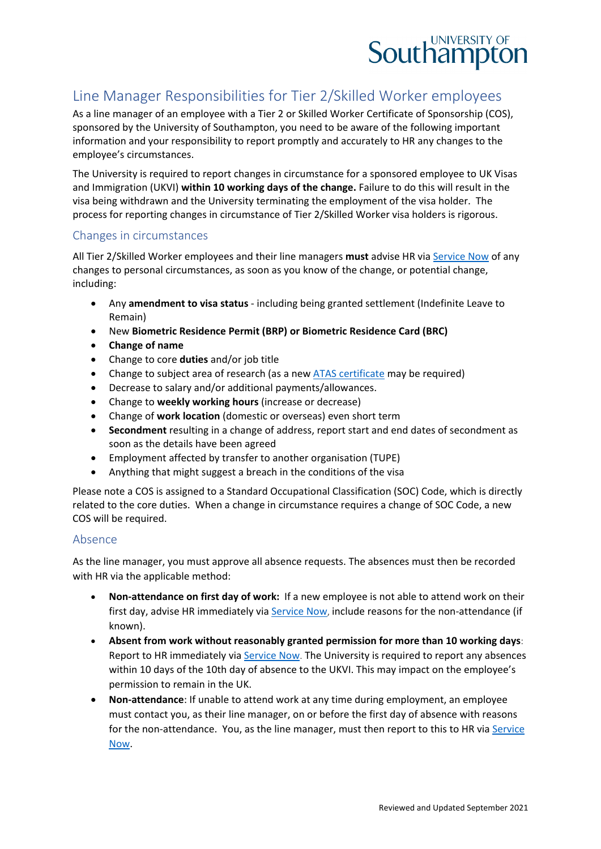

# Line Manager Responsibilities for Tier 2/Skilled Worker employees

As a line manager of an employee with a Tier 2 or Skilled Worker Certificate of Sponsorship (COS), sponsored by the University of Southampton, you need to be aware of the following important information and your responsibility to report promptly and accurately to HR any changes to the employee's circumstances.

The University is required to report changes in circumstance for a sponsored employee to UK Visas and Immigration (UKVI) **within 10 working days of the change.** Failure to do this will result in the visa being withdrawn and the University terminating the employment of the visa holder. The process for reporting changes in circumstance of Tier 2/Skilled Worker visa holders is rigorous.

## Changes in circumstances

All Tier 2/Skilled Worker employees and their line managers **must** advise HR via [Service Now](https://sotonproduction.service-now.com/serviceportal?id=sc_cat_item&sys_id=c562ba80db0097006f3df57eaf9619d3) of any changes to personal circumstances, as soon as you know of the change, or potential change, including:

- Any **amendment to visa status** including being granted settlement (Indefinite Leave to Remain)
- New **Biometric Residence Permit (BRP) or Biometric Residence Card (BRC)**
- **Change of name**
- Change to core **duties** and/or job title
- Change to subject area of research (as a new [ATAS certificate](https://www.gov.uk/guidance/academic-technology-approval-scheme) may be required)
- Decrease to salary and/or additional payments/allowances.
- Change to **weekly working hours** (increase or decrease)
- Change of **work location** (domestic or overseas) even short term
- **Secondment** resulting in a change of address, report start and end dates of secondment as soon as the details have been agreed
- Employment affected by transfer to another organisation (TUPE)
- Anything that might suggest a breach in the conditions of the visa

Please note a COS is assigned to a Standard Occupational Classification (SOC) Code, which is directly related to the core duties. When a change in circumstance requires a change of SOC Code, a new COS will be required.

## Absence

As the line manager, you must approve all absence requests. The absences must then be recorded with HR via the applicable method:

- **Non-attendance on first day of work:** If a new employee is not able to attend work on their first day, advise HR immediately via [Service Now](https://sotonproduction.service-now.com/serviceportal?id=sc_category&catalog_id=67f29765db9857406f3df57eaf961941), include reasons for the non-attendance (if known).
- **Absent from work without reasonably granted permission for more than 10 working days**: Report to HR immediately via [Service Now](https://sotonproduction.service-now.com/serviceportal?id=sc_category&catalog_id=67f29765db9857406f3df57eaf961941). The University is required to report any absences within 10 days of the 10th day of absence to the UKVI. This may impact on the employee's permission to remain in the UK.
- **Non-attendance**: If unable to attend work at any time during employment, an employee must contact you, as their line manager, on or before the first day of absence with reasons for the non-attendance. You, as the line manager, must then report to this to HR via [Service](https://sotonproduction.service-now.com/serviceportal?id=sc_cat_item&sys_id=c562ba80db0097006f3df57eaf9619d3)  [Now.](https://sotonproduction.service-now.com/serviceportal?id=sc_cat_item&sys_id=c562ba80db0097006f3df57eaf9619d3)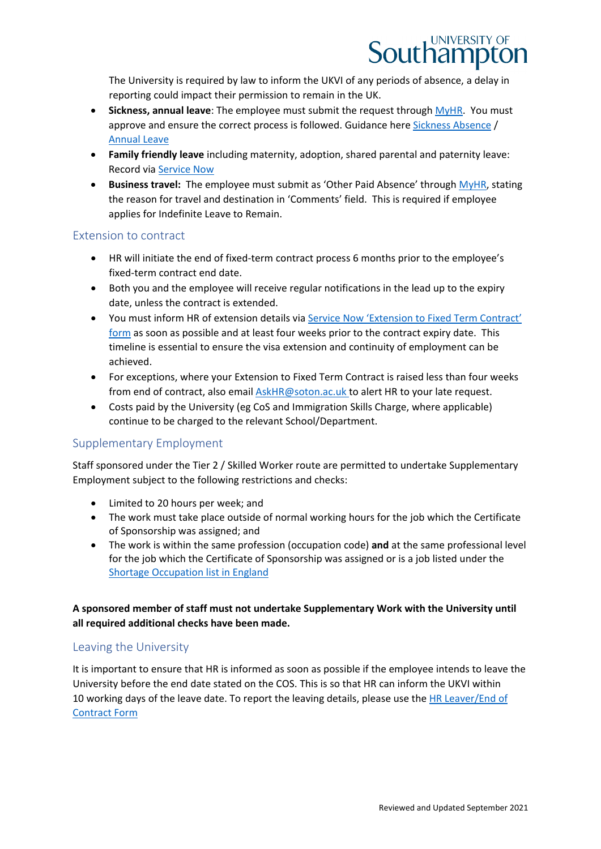

The University is required by law to inform the UKVI of any periods of absence, a delay in reporting could impact their permission to remain in the UK.

- **Sickness, annual leave**: The employee must submit the request through [MyHR.](https://myhr.soton.ac.uk/dashboard/dashboard-ui/index.html#/landing) You must approve and ensure the correct process is followed. Guidance here [Sickness Absence](https://www.southampton.ac.uk/hr/services/reporting-sickness/index.page) / [Annual Leave](https://www.southampton.ac.uk/hr/services/leave-entitlement/index.page)
- **Family friendly leave** including maternity, adoption, shared parental and paternity leave: Record via [Service Now](https://sotonproduction.service-now.com/serviceportal?id=sc_category&sys_id=5633a73bdb91ef00f81bee71ca9619ad&catalog_id=67f29765db9857406f3df57eaf961941)
- **Business travel:** The employee must submit as 'Other Paid Absence' through [MyHR,](https://myhr.soton.ac.uk/dashboard/dashboard-ui/index.html#/landing) stating the reason for travel and destination in 'Comments' field. This is required if employee applies for Indefinite Leave to Remain.

## Extension to contract

- HR will initiate the end of fixed-term contract process 6 months prior to the employee's fixed-term contract end date.
- Both you and the employee will receive regular notifications in the lead up to the expiry date, unless the contract is extended.
- You must inform HR of extension details via [Service Now 'Extension to Fixed Term Contract'](https://sotonproduction.service-now.com/serviceportal?id=sc_cat_item&sys_id=c4cf846f0f924200cbb585ece1050e19) [form](https://sotonproduction.service-now.com/serviceportal?id=sc_cat_item&sys_id=c4cf846f0f924200cbb585ece1050e19) as soon as possible and at least four weeks prior to the contract expiry date. This timeline is essential to ensure the visa extension and continuity of employment can be achieved.
- For exceptions, where your Extension to Fixed Term Contract is raised less than four weeks from end of contract, also email [AskHR@soton.ac.uk](mailto:AskHR@soton.ac.uk) to alert HR to your late request.
- Costs paid by the University (eg CoS and Immigration Skills Charge, where applicable) continue to be charged to the relevant School/Department.

## Supplementary Employment

Staff sponsored under the Tier 2 / Skilled Worker route are permitted to undertake Supplementary Employment subject to the following restrictions and checks:

- Limited to 20 hours per week; and
- The work must take place outside of normal working hours for the job which the Certificate of Sponsorship was assigned; and
- The work is within the same profession (occupation code) **and** at the same professional level for the job which the Certificate of Sponsorship was assigned or is a job listed under the [Shortage Occupation list in England](https://eur03.safelinks.protection.outlook.com/?url=https%3A%2F%2Fwww.gov.uk%2Fguidance%2Fimmigration-rules%2Fimmigration-rules-appendix-shortage-occupation-list&data=04%7C01%7CA.V.Jenkins%40soton.ac.uk%7Cd3cf3fa6b2414db5aa7608d97d025d3e%7C4a5378f929f44d3ebe89669d03ada9d8%7C0%7C0%7C637678271405525112%7CUnknown%7CTWFpbGZsb3d8eyJWIjoiMC4wLjAwMDAiLCJQIjoiV2luMzIiLCJBTiI6Ik1haWwiLCJXVCI6Mn0%3D%7C1000&sdata=SpMaY79VNw0EiArvY8VMivgAkRD2PYsIccea4fyh%2FTU%3D&reserved=0)

## **A sponsored member of staff must not undertake Supplementary Work with the University until all required additional checks have been made.**

## Leaving the University

It is important to ensure that HR is informed as soon as possible if the employee intends to leave the University before the end date stated on the COS. This is so that HR can inform the UKVI within 10 working days of the leave date. To report the leaving details, please use the HR Leaver/End of [Contract Form](https://sotonproduction.service-now.com/serviceportal?id=sc_cat_item&sys_id=8af5e506db513704f81bee71ca961980&sysparm_category=40545fb23712a2001c630ba754990e46)